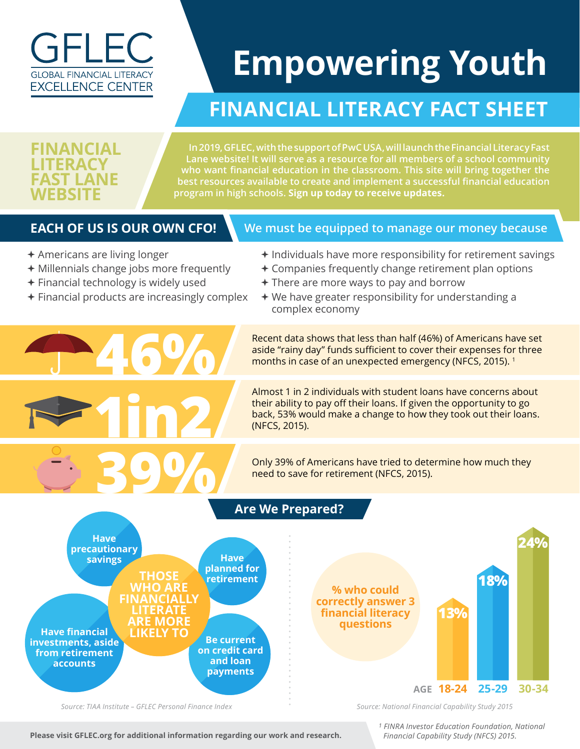

# **Empowering Youth**

## **FINANCIAL LITERACY FACT SHEET**

#### **FINANCIAL LITERACY FAST LANE WERSIT**

**In 2019, GFLEC, with the support of PwC USA, will launch the Financial Literacy Fast Lane website! It will serve as a resource for all members of a school community who want financial education in the classroom. This site will bring together the best resources available to create and implement a successful financial education program in high schools. Sign up today to receive updates.**

#### **EACH OF US IS OUR OWN CFO!**

#### **We must be equipped to manage our money because**

- $\triangle$  Americans are living longer
- $\div$  Millennials change jobs more frequently
- $\div$  Financial technology is widely used

**46%**

**39%**

 $\div$  Financial products are increasingly complex

**1in2**

- $\triangleq$  Individuals have more responsibility for retirement savings
- $\triangle$  Companies frequently change retirement plan options
- $\div$  There are more ways to pay and borrow
- $\div$  We have greater responsibility for understanding a complex economy

Recent data shows that less than half (46%) of Americans have set aside "rainy day" funds sufficient to cover their expenses for three months in case of an unexpected emergency (NFCS, 2015). 1

Almost 1 in 2 individuals with student loans have concerns about their ability to pay off their loans. If given the opportunity to go back, 53% would make a change to how they took out their loans. (NFCS, 2015).

Only 39% of Americans have tried to determine how much they need to save for retirement (NFCS, 2015).



*Source: TIAA Institute – GFLEC Personal Finance Index*

*Source: National Financial Capability Study 2015*

 **Please visit GFLEC.org for additional information regarding our work and research.**

*1 FINRA Investor Education Foundation, National Financial Capability Study (NFCS) 2015.*